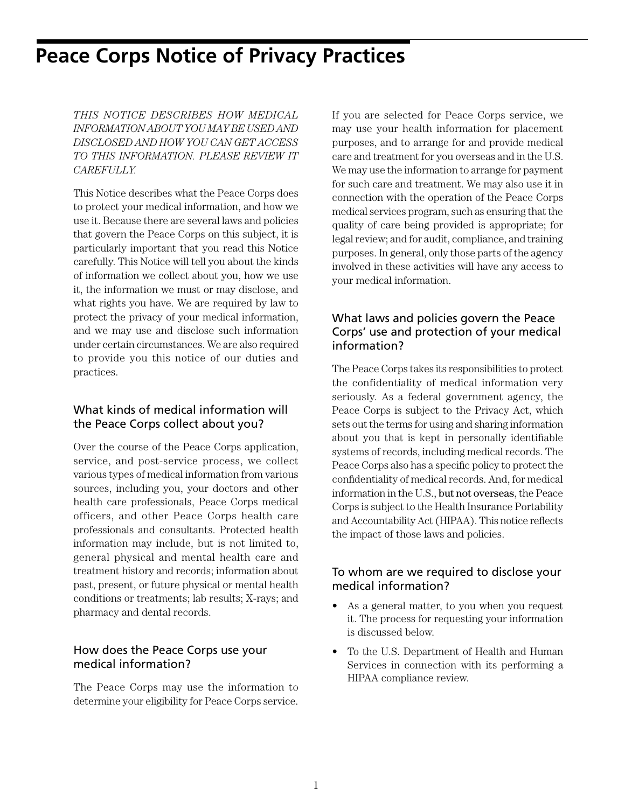# **Peace Corps Notice of Privacy Practices**

*THIS NOTICE DESCRIBES HOW MEDICAL INFORMATION ABOUT YOU MAY BE USED AND DISCLOSED AND HOW YOU CAN GET ACCESS TO THIS INFORMATION. PLEASE REVIEW IT CAREFULLY.*

This Notice describes what the Peace Corps does to protect your medical information, and how we use it. Because there are several laws and policies that govern the Peace Corps on this subject, it is particularly important that you read this Notice carefully. This Notice will tell you about the kinds of information we collect about you, how we use it, the information we must or may disclose, and what rights you have. We are required by law to protect the privacy of your medical information, and we may use and disclose such information under certain circumstances. We are also required to provide you this notice of our duties and practices.

## What kinds of medical information will the Peace Corps collect about you?

Over the course of the Peace Corps application, service, and post-service process, we collect various types of medical information from various sources, including you, your doctors and other health care professionals, Peace Corps medical officers, and other Peace Corps health care professionals and consultants. Protected health information may include, but is not limited to, general physical and mental health care and treatment history and records; information about past, present, or future physical or mental health conditions or treatments; lab results; X-rays; and pharmacy and dental records.

### How does the Peace Corps use your medical information?

The Peace Corps may use the information to determine your eligibility for Peace Corps service. If you are selected for Peace Corps service, we may use your health information for placement purposes, and to arrange for and provide medical care and treatment for you overseas and in the U.S. We may use the information to arrange for payment for such care and treatment. We may also use it in connection with the operation of the Peace Corps medical services program, such as ensuring that the quality of care being provided is appropriate; for legal review; and for audit, compliance, and training purposes. In general, only those parts of the agency involved in these activities will have any access to your medical information.

## What laws and policies govern the Peace Corps' use and protection of your medical information?

The Peace Corps takes its responsibilities to protect the confidentiality of medical information very seriously. As a federal government agency, the Peace Corps is subject to the Privacy Act, which sets out the terms for using and sharing information about you that is kept in personally identifiable systems of records, including medical records. The Peace Corps also has a specific policy to protect the confidentiality of medical records. And, for medical information in the U.S., but not overseas, the Peace Corps is subject to the Health Insurance Portability and Accountability Act (HIPAA). This notice reflects the impact of those laws and policies.

#### To whom are we required to disclose your medical information?

- As a general matter, to you when you request it. The process for requesting your information is discussed below.
- To the U.S. Department of Health and Human Services in connection with its performing a HIPAA compliance review.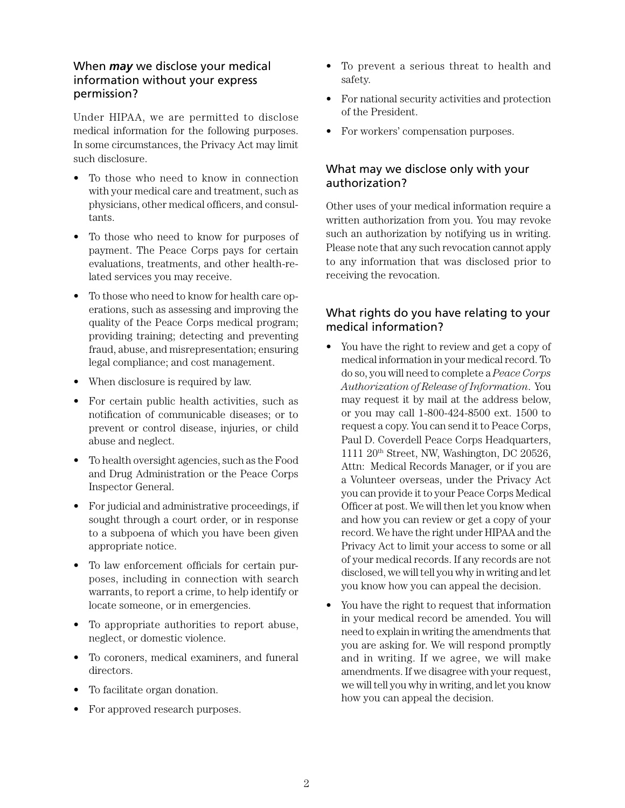#### When *may* we disclose your medical information without your express permission?

Under HIPAA, we are permitted to disclose medical information for the following purposes. In some circumstances, the Privacy Act may limit such disclosure.

- To those who need to know in connection with your medical care and treatment, such as physicians, other medical officers, and consultants.
- To those who need to know for purposes of payment. The Peace Corps pays for certain evaluations, treatments, and other health-related services you may receive.
- To those who need to know for health care operations, such as assessing and improving the quality of the Peace Corps medical program; providing training; detecting and preventing fraud, abuse, and misrepresentation; ensuring legal compliance; and cost management.
- When disclosure is required by law.
- For certain public health activities, such as notification of communicable diseases; or to prevent or control disease, injuries, or child abuse and neglect.
- To health oversight agencies, such as the Food and Drug Administration or the Peace Corps Inspector General.
- For judicial and administrative proceedings, if sought through a court order, or in response to a subpoena of which you have been given appropriate notice.
- To law enforcement officials for certain purposes, including in connection with search warrants, to report a crime, to help identify or locate someone, or in emergencies.
- To appropriate authorities to report abuse, neglect, or domestic violence.
- To coroners, medical examiners, and funeral directors.
- To facilitate organ donation.
- For approved research purposes.
- To prevent a serious threat to health and safety.
- For national security activities and protection of the President.
- For workers' compensation purposes.

# What may we disclose only with your authorization?

Other uses of your medical information require a written authorization from you. You may revoke such an authorization by notifying us in writing. Please note that any such revocation cannot apply to any information that was disclosed prior to receiving the revocation.

# What rights do you have relating to your medical information?

- You have the right to review and get a copy of medical information in your medical record. To do so, you will need to complete a *Peace Corps Authorization of Release of Information*. You may request it by mail at the address below, or you may call 1-800-424-8500 ext. 1500 to request a copy. You can send it to Peace Corps, Paul D. Coverdell Peace Corps Headquarters, 1111 20th Street, NW, Washington, DC 20526, Attn: Medical Records Manager, or if you are a Volunteer overseas, under the Privacy Act you can provide it to your Peace Corps Medical Officer at post. We will then let you know when and how you can review or get a copy of your record. We have the right under HIPAA and the Privacy Act to limit your access to some or all of your medical records. If any records are not disclosed, we will tell you why in writing and let you know how you can appeal the decision.
- You have the right to request that information in your medical record be amended. You will need to explain in writing the amendments that you are asking for. We will respond promptly and in writing. If we agree, we will make amendments. If we disagree with your request, we will tell you why in writing, and let you know how you can appeal the decision.